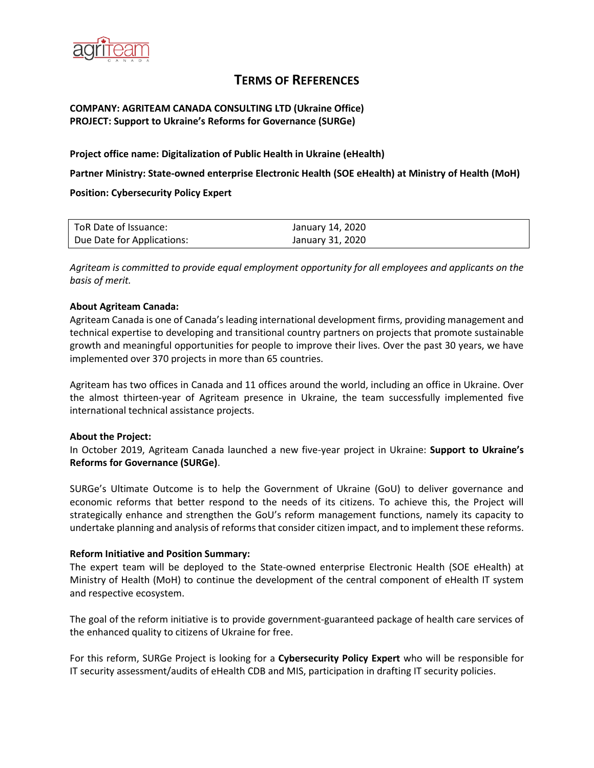

# **TERMS OF REFERENCES**

# **COMPANY: AGRITEAM CANADA CONSULTING LTD (Ukraine Office) PROJECT: Support to Ukraine's Reforms for Governance (SURGe)**

**Project office name: Digitalization of Public Health in Ukraine (eHealth)**

**Partner Ministry: State-owned enterprise Electronic Health (SOE eHealth) at Ministry of Health (MoH)**

**Position: Cybersecurity Policy Expert**

| ToR Date of Issuance:      | January 14, 2020 |
|----------------------------|------------------|
| Due Date for Applications: | January 31, 2020 |

*Agriteam is committed to provide equal employment opportunity for all employees and applicants on the basis of merit.*

## **About Agriteam Canada:**

Agriteam Canada is one of Canada's leading international development firms, providing management and technical expertise to developing and transitional country partners on projects that promote sustainable growth and meaningful opportunities for people to improve their lives. Over the past 30 years, we have implemented over 370 projects in more than 65 countries.

Agriteam has two offices in Canada and 11 offices around the world, including an office in Ukraine. Over the almost thirteen-year of Agriteam presence in Ukraine, the team successfully implemented five international technical assistance projects.

## **About the Project:**

In October 2019, Agriteam Canada launched a new five-year project in Ukraine: **Support to Ukraine's Reforms for Governance (SURGe)**.

SURGe's Ultimate Outcome is to help the Government of Ukraine (GoU) to deliver governance and economic reforms that better respond to the needs of its citizens. To achieve this, the Project will strategically enhance and strengthen the GoU's reform management functions, namely its capacity to undertake planning and analysis of reforms that consider citizen impact, and to implement these reforms.

## **Reform Initiative and Position Summary:**

The expert team will be deployed to the State-owned enterprise Electronic Health (SOE eHealth) at Ministry of Health (MoH) to continue the development of the central component of eHealth IT system and respective ecosystem.

The goal of the reform initiative is to provide government-guaranteed package of health care services of the enhanced quality to citizens of Ukraine for free.

For this reform, SURGe Project is looking for а **Cybersecurity Policy Expert** who will be responsible for IT security assessment/audits of eHealth CDB and MIS, participation in drafting IT security policies.